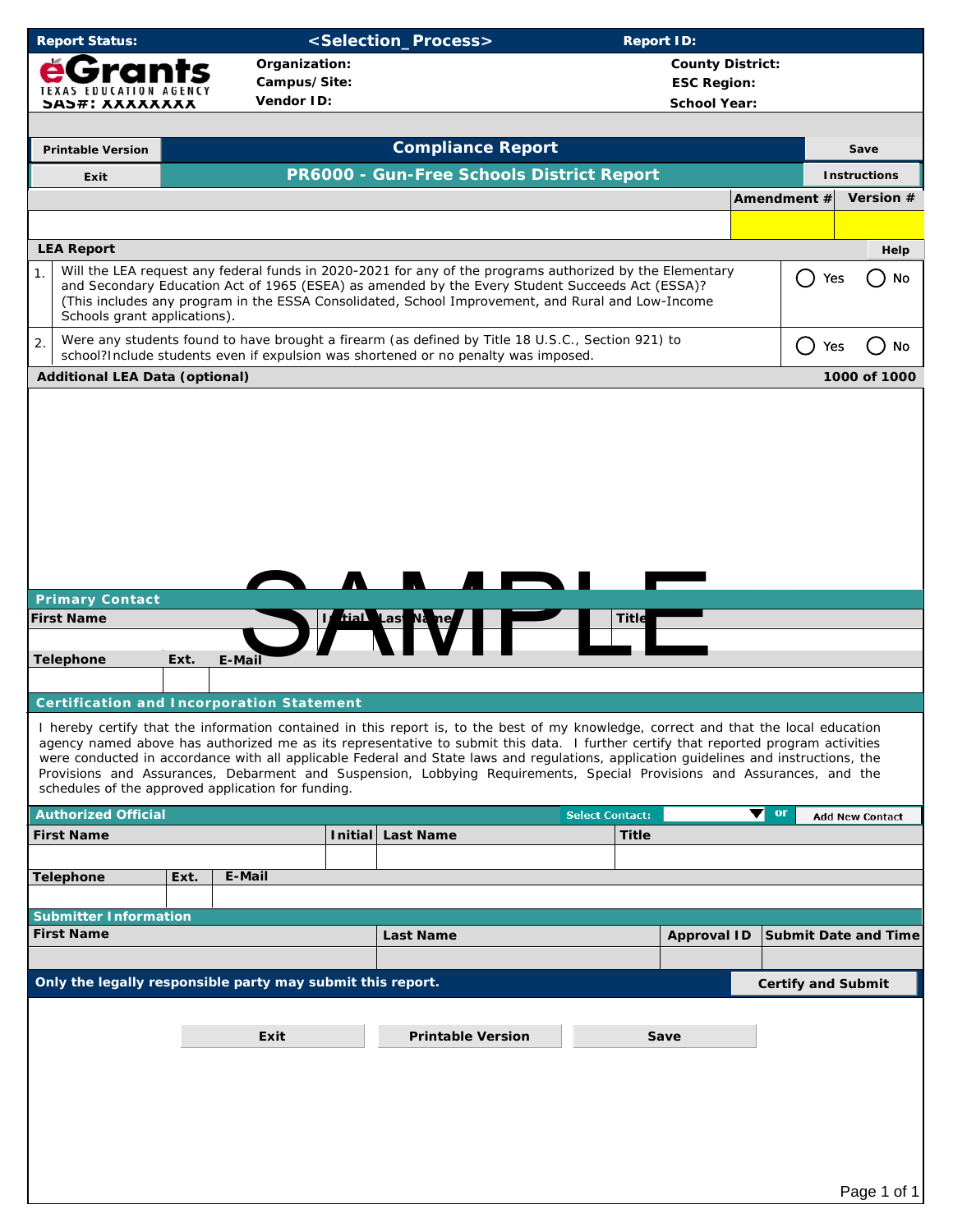|  | <b>Report Status:</b> |  |
|--|-----------------------|--|
|  |                       |  |

## **Report Status: Status: <Selection\_Process> Report ID:**

| Organization:<br>МI<br>Campus/Site:<br><b>TEXAS EDUCATION AGENCY</b> |                                       |      |                                                            |                                           | <b>County District:</b><br><b>ESC Region:</b>                                                                                                                                                                                                                                                                                                                                                                                                                                                                                                 |                        |                     |                         |               |                             |  |  |
|----------------------------------------------------------------------|---------------------------------------|------|------------------------------------------------------------|-------------------------------------------|-----------------------------------------------------------------------------------------------------------------------------------------------------------------------------------------------------------------------------------------------------------------------------------------------------------------------------------------------------------------------------------------------------------------------------------------------------------------------------------------------------------------------------------------------|------------------------|---------------------|-------------------------|---------------|-----------------------------|--|--|
|                                                                      | <b>SAS#: XXXXXXXX</b>                 |      | Vendor ID:                                                 |                                           |                                                                                                                                                                                                                                                                                                                                                                                                                                                                                                                                               |                        | <b>School Year:</b> |                         |               |                             |  |  |
|                                                                      |                                       |      |                                                            |                                           |                                                                                                                                                                                                                                                                                                                                                                                                                                                                                                                                               |                        |                     |                         |               |                             |  |  |
|                                                                      | <b>Printable Version</b>              |      |                                                            |                                           | <b>Compliance Report</b>                                                                                                                                                                                                                                                                                                                                                                                                                                                                                                                      |                        |                     |                         |               | Save                        |  |  |
|                                                                      | Exit                                  |      |                                                            | PR6000 - Gun-Free Schools District Report |                                                                                                                                                                                                                                                                                                                                                                                                                                                                                                                                               |                        |                     |                         |               | <b>Instructions</b>         |  |  |
|                                                                      |                                       |      |                                                            |                                           |                                                                                                                                                                                                                                                                                                                                                                                                                                                                                                                                               |                        |                     |                         | Amendment #   | Version #                   |  |  |
|                                                                      |                                       |      |                                                            |                                           |                                                                                                                                                                                                                                                                                                                                                                                                                                                                                                                                               |                        |                     |                         |               |                             |  |  |
|                                                                      | <b>LEA Report</b>                     |      |                                                            |                                           |                                                                                                                                                                                                                                                                                                                                                                                                                                                                                                                                               |                        |                     |                         |               | Help                        |  |  |
| 1.                                                                   | Schools grant applications).          |      |                                                            |                                           | Will the LEA request any federal funds in 2020-2021 for any of the programs authorized by the Elementary<br>and Secondary Education Act of 1965 (ESEA) as amended by the Every Student Succeeds Act (ESSA)?<br>(This includes any program in the ESSA Consolidated, School Improvement, and Rural and Low-Income                                                                                                                                                                                                                              |                        |                     |                         | $\Box$<br>Yes | <b>No</b>                   |  |  |
| 2.                                                                   |                                       |      |                                                            |                                           | Were any students found to have brought a firearm (as defined by Title 18 U.S.C., Section 921) to<br>school?Include students even if expulsion was shortened or no penalty was imposed.                                                                                                                                                                                                                                                                                                                                                       |                        |                     |                         | ( )<br>Yes    | No                          |  |  |
|                                                                      | <b>Additional LEA Data (optional)</b> |      |                                                            |                                           |                                                                                                                                                                                                                                                                                                                                                                                                                                                                                                                                               |                        |                     |                         |               | 1000 of 1000                |  |  |
|                                                                      |                                       |      |                                                            |                                           |                                                                                                                                                                                                                                                                                                                                                                                                                                                                                                                                               |                        |                     |                         |               |                             |  |  |
|                                                                      | <b>Primary Contact</b>                |      |                                                            |                                           | <u>r res</u><br><b>A</b> <i>A</i>                                                                                                                                                                                                                                                                                                                                                                                                                                                                                                             |                        |                     |                         |               |                             |  |  |
|                                                                      | <b>First Name</b>                     |      |                                                            |                                           |                                                                                                                                                                                                                                                                                                                                                                                                                                                                                                                                               | $\sqrt{\text{Title}}$  |                     |                         |               |                             |  |  |
|                                                                      | <b>Telephone</b>                      | Ext. | E-Mail                                                     |                                           | <i>I</i> fial Las Na ne                                                                                                                                                                                                                                                                                                                                                                                                                                                                                                                       |                        |                     |                         |               |                             |  |  |
|                                                                      |                                       |      |                                                            |                                           |                                                                                                                                                                                                                                                                                                                                                                                                                                                                                                                                               |                        |                     |                         |               |                             |  |  |
|                                                                      |                                       |      | <b>Certification and Incorporation Statement</b>           |                                           |                                                                                                                                                                                                                                                                                                                                                                                                                                                                                                                                               |                        |                     |                         |               |                             |  |  |
|                                                                      |                                       |      | schedules of the approved application for funding.         |                                           | I hereby certify that the information contained in this report is, to the best of my knowledge, correct and that the local education<br>agency named above has authorized me as its representative to submit this data. I further certify that reported program activities<br>were conducted in accordance with all applicable Federal and State laws and regulations, application guidelines and instructions, the<br>Provisions and Assurances, Debarment and Suspension, Lobbying Requirements, Special Provisions and Assurances, and the |                        |                     |                         |               |                             |  |  |
|                                                                      | <b>Authorized Official</b>            |      |                                                            |                                           |                                                                                                                                                                                                                                                                                                                                                                                                                                                                                                                                               | <b>Select Contact:</b> |                     | $\blacktriangledown$ or |               | <b>Add New Contact</b>      |  |  |
|                                                                      | <b>First Name</b>                     |      |                                                            | <b>Initial</b>                            | <b>Last Name</b>                                                                                                                                                                                                                                                                                                                                                                                                                                                                                                                              | <b>Title</b>           |                     |                         |               |                             |  |  |
|                                                                      |                                       |      |                                                            |                                           |                                                                                                                                                                                                                                                                                                                                                                                                                                                                                                                                               |                        |                     |                         |               |                             |  |  |
|                                                                      | <b>Telephone</b>                      | Ext. | E-Mail                                                     |                                           |                                                                                                                                                                                                                                                                                                                                                                                                                                                                                                                                               |                        |                     |                         |               |                             |  |  |
|                                                                      | <b>Submitter Information</b>          |      |                                                            |                                           |                                                                                                                                                                                                                                                                                                                                                                                                                                                                                                                                               |                        |                     |                         |               |                             |  |  |
|                                                                      | <b>First Name</b>                     |      |                                                            |                                           | <b>Last Name</b>                                                                                                                                                                                                                                                                                                                                                                                                                                                                                                                              |                        | <b>Approval ID</b>  |                         |               | <b>Submit Date and Time</b> |  |  |
|                                                                      |                                       |      |                                                            |                                           |                                                                                                                                                                                                                                                                                                                                                                                                                                                                                                                                               |                        |                     |                         |               |                             |  |  |
|                                                                      |                                       |      | Only the legally responsible party may submit this report. |                                           |                                                                                                                                                                                                                                                                                                                                                                                                                                                                                                                                               |                        |                     |                         |               | <b>Certify and Submit</b>   |  |  |
|                                                                      |                                       |      | Exit                                                       |                                           | <b>Printable Version</b>                                                                                                                                                                                                                                                                                                                                                                                                                                                                                                                      |                        | Save                |                         |               |                             |  |  |
|                                                                      |                                       |      |                                                            |                                           |                                                                                                                                                                                                                                                                                                                                                                                                                                                                                                                                               |                        |                     |                         |               |                             |  |  |
|                                                                      |                                       |      |                                                            |                                           |                                                                                                                                                                                                                                                                                                                                                                                                                                                                                                                                               |                        |                     |                         |               |                             |  |  |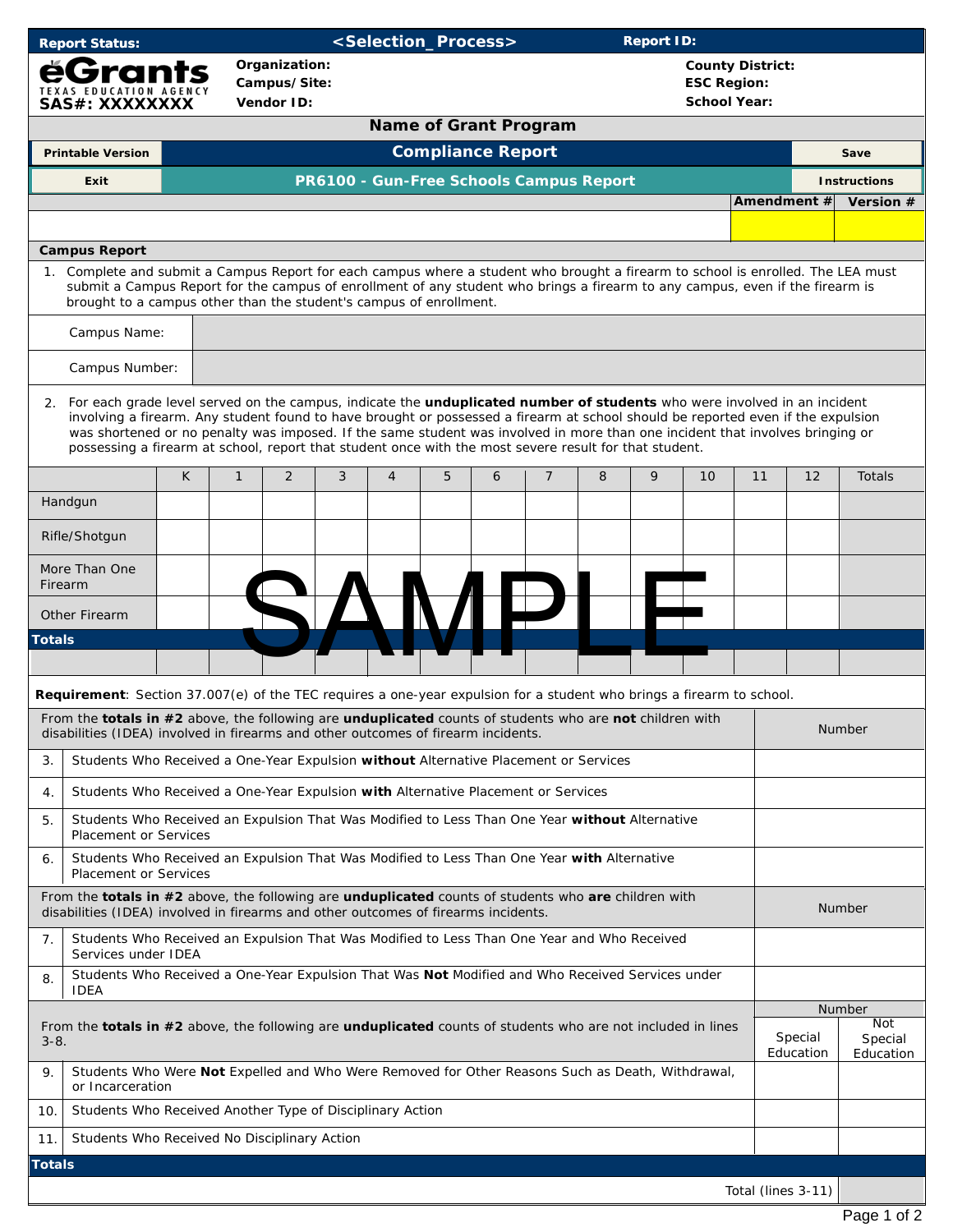| <b>Report Status:</b>                                                                                                                                                                               |                                                                                                                                                                                                                                                                                                                                                                                                                                                                                                            | <selection_process><br/><b>Report ID:</b></selection_process> |                                                |   |                |                              |   |                |                                                                      |                      |                                 |                    |                     |           |  |  |
|-----------------------------------------------------------------------------------------------------------------------------------------------------------------------------------------------------|------------------------------------------------------------------------------------------------------------------------------------------------------------------------------------------------------------------------------------------------------------------------------------------------------------------------------------------------------------------------------------------------------------------------------------------------------------------------------------------------------------|---------------------------------------------------------------|------------------------------------------------|---|----------------|------------------------------|---|----------------|----------------------------------------------------------------------|----------------------|---------------------------------|--------------------|---------------------|-----------|--|--|
| Grants<br><b>TEXAS EDUCATION AGENCY</b><br>SAS#: XXXXXXXX                                                                                                                                           |                                                                                                                                                                                                                                                                                                                                                                                                                                                                                                            | Organization:<br>Campus/Site:<br>Vendor ID:                   |                                                |   |                |                              |   |                | <b>County District:</b><br><b>ESC Region:</b><br><b>School Year:</b> |                      |                                 |                    |                     |           |  |  |
|                                                                                                                                                                                                     |                                                                                                                                                                                                                                                                                                                                                                                                                                                                                                            |                                                               |                                                |   |                | <b>Name of Grant Program</b> |   |                |                                                                      |                      |                                 |                    |                     |           |  |  |
| <b>Compliance Report</b><br><b>Printable Version</b>                                                                                                                                                |                                                                                                                                                                                                                                                                                                                                                                                                                                                                                                            |                                                               |                                                |   |                |                              |   |                |                                                                      |                      |                                 |                    | Save                |           |  |  |
| Exit                                                                                                                                                                                                |                                                                                                                                                                                                                                                                                                                                                                                                                                                                                                            |                                                               | <b>PR6100 - Gun-Free Schools Campus Report</b> |   |                |                              |   |                |                                                                      |                      |                                 |                    | <b>Instructions</b> |           |  |  |
|                                                                                                                                                                                                     |                                                                                                                                                                                                                                                                                                                                                                                                                                                                                                            |                                                               |                                                |   |                |                              |   |                |                                                                      |                      |                                 | Amendment #        |                     | Version # |  |  |
|                                                                                                                                                                                                     |                                                                                                                                                                                                                                                                                                                                                                                                                                                                                                            |                                                               |                                                |   |                |                              |   |                |                                                                      |                      |                                 |                    |                     |           |  |  |
| <b>Campus Report</b><br>1. Complete and submit a Campus Report for each campus where a student who brought a firearm to school is enrolled. The LEA must                                            |                                                                                                                                                                                                                                                                                                                                                                                                                                                                                                            |                                                               |                                                |   |                |                              |   |                |                                                                      |                      |                                 |                    |                     |           |  |  |
| submit a Campus Report for the campus of enrollment of any student who brings a firearm to any campus, even if the firearm is<br>brought to a campus other than the student's campus of enrollment. |                                                                                                                                                                                                                                                                                                                                                                                                                                                                                                            |                                                               |                                                |   |                |                              |   |                |                                                                      |                      |                                 |                    |                     |           |  |  |
| Campus Name:                                                                                                                                                                                        |                                                                                                                                                                                                                                                                                                                                                                                                                                                                                                            |                                                               |                                                |   |                |                              |   |                |                                                                      |                      |                                 |                    |                     |           |  |  |
| Campus Number:                                                                                                                                                                                      |                                                                                                                                                                                                                                                                                                                                                                                                                                                                                                            |                                                               |                                                |   |                |                              |   |                |                                                                      |                      |                                 |                    |                     |           |  |  |
|                                                                                                                                                                                                     | 2. For each grade level served on the campus, indicate the unduplicated number of students who were involved in an incident<br>involving a firearm. Any student found to have brought or possessed a firearm at school should be reported even if the expulsion<br>was shortened or no penalty was imposed. If the same student was involved in more than one incident that involves bringing or<br>possessing a firearm at school, report that student once with the most severe result for that student. |                                                               |                                                |   |                |                              |   |                |                                                                      |                      |                                 |                    |                     |           |  |  |
|                                                                                                                                                                                                     | Κ                                                                                                                                                                                                                                                                                                                                                                                                                                                                                                          | $\mathbf{1}$                                                  | 2                                              | 3 | $\overline{4}$ | 5                            | 6 | $\overline{7}$ | 8                                                                    | 9                    | 10                              | 11                 | 12                  | Totals    |  |  |
| Handgun                                                                                                                                                                                             |                                                                                                                                                                                                                                                                                                                                                                                                                                                                                                            |                                                               |                                                |   |                |                              |   |                |                                                                      |                      |                                 |                    |                     |           |  |  |
| Rifle/Shotgun                                                                                                                                                                                       |                                                                                                                                                                                                                                                                                                                                                                                                                                                                                                            |                                                               |                                                |   |                |                              |   |                |                                                                      |                      |                                 |                    |                     |           |  |  |
| More Than One<br>Firearm                                                                                                                                                                            |                                                                                                                                                                                                                                                                                                                                                                                                                                                                                                            |                                                               |                                                |   |                |                              |   |                |                                                                      |                      |                                 |                    |                     |           |  |  |
| Other Firearm                                                                                                                                                                                       |                                                                                                                                                                                                                                                                                                                                                                                                                                                                                                            |                                                               |                                                |   |                |                              |   |                |                                                                      |                      |                                 |                    |                     |           |  |  |
| <b>Totals</b>                                                                                                                                                                                       |                                                                                                                                                                                                                                                                                                                                                                                                                                                                                                            |                                                               |                                                |   |                |                              |   |                |                                                                      |                      |                                 |                    |                     |           |  |  |
|                                                                                                                                                                                                     |                                                                                                                                                                                                                                                                                                                                                                                                                                                                                                            |                                                               |                                                |   |                |                              |   |                |                                                                      |                      |                                 |                    |                     |           |  |  |
| Requirement: Section 37.007(e) of the TEC requires a one-year expulsion for a student who brings a firearm to school.                                                                               |                                                                                                                                                                                                                                                                                                                                                                                                                                                                                                            |                                                               |                                                |   |                |                              |   |                |                                                                      |                      |                                 |                    |                     |           |  |  |
| From the totals in #2 above, the following are unduplicated counts of students who are not children with<br>disabilities (IDEA) involved in firearms and other outcomes of firearm incidents.       |                                                                                                                                                                                                                                                                                                                                                                                                                                                                                                            |                                                               |                                                |   |                |                              |   |                |                                                                      |                      |                                 |                    | Number              |           |  |  |
| Students Who Received a One-Year Expulsion without Alternative Placement or Services<br>3.                                                                                                          |                                                                                                                                                                                                                                                                                                                                                                                                                                                                                                            |                                                               |                                                |   |                |                              |   |                |                                                                      |                      |                                 |                    |                     |           |  |  |
| Students Who Received a One-Year Expulsion with Alternative Placement or Services<br>4.                                                                                                             |                                                                                                                                                                                                                                                                                                                                                                                                                                                                                                            |                                                               |                                                |   |                |                              |   |                |                                                                      |                      |                                 |                    |                     |           |  |  |
| Students Who Received an Expulsion That Was Modified to Less Than One Year without Alternative<br>5.<br><b>Placement or Services</b>                                                                |                                                                                                                                                                                                                                                                                                                                                                                                                                                                                                            |                                                               |                                                |   |                |                              |   |                |                                                                      |                      |                                 |                    |                     |           |  |  |
| Students Who Received an Expulsion That Was Modified to Less Than One Year with Alternative<br>6.<br><b>Placement or Services</b>                                                                   |                                                                                                                                                                                                                                                                                                                                                                                                                                                                                                            |                                                               |                                                |   |                |                              |   |                |                                                                      |                      |                                 |                    |                     |           |  |  |
| From the totals in #2 above, the following are unduplicated counts of students who are children with<br>disabilities (IDEA) involved in firearms and other outcomes of firearms incidents.          |                                                                                                                                                                                                                                                                                                                                                                                                                                                                                                            |                                                               |                                                |   |                |                              |   |                |                                                                      | Number               |                                 |                    |                     |           |  |  |
| 7.<br>Students Who Received an Expulsion That Was Modified to Less Than One Year and Who Received<br>Services under IDEA                                                                            |                                                                                                                                                                                                                                                                                                                                                                                                                                                                                                            |                                                               |                                                |   |                |                              |   |                |                                                                      |                      |                                 |                    |                     |           |  |  |
| Students Who Received a One-Year Expulsion That Was Not Modified and Who Received Services under<br>8.<br><b>IDEA</b>                                                                               |                                                                                                                                                                                                                                                                                                                                                                                                                                                                                                            |                                                               |                                                |   |                |                              |   |                |                                                                      |                      |                                 |                    |                     |           |  |  |
| From the totals in #2 above, the following are unduplicated counts of students who are not included in lines<br>$3 - 8$ .                                                                           |                                                                                                                                                                                                                                                                                                                                                                                                                                                                                                            |                                                               |                                                |   |                |                              |   |                |                                                                      | Special<br>Education | <b>Number</b><br>Not<br>Special |                    |                     |           |  |  |
| Students Who Were Not Expelled and Who Were Removed for Other Reasons Such as Death, Withdrawal,<br>9.<br>or Incarceration                                                                          |                                                                                                                                                                                                                                                                                                                                                                                                                                                                                                            |                                                               |                                                |   |                |                              |   |                |                                                                      | Education            |                                 |                    |                     |           |  |  |
| 10.<br>Students Who Received Another Type of Disciplinary Action                                                                                                                                    |                                                                                                                                                                                                                                                                                                                                                                                                                                                                                                            |                                                               |                                                |   |                |                              |   |                |                                                                      |                      |                                 |                    |                     |           |  |  |
| Students Who Received No Disciplinary Action<br>11.                                                                                                                                                 |                                                                                                                                                                                                                                                                                                                                                                                                                                                                                                            |                                                               |                                                |   |                |                              |   |                |                                                                      |                      |                                 |                    |                     |           |  |  |
| Totals                                                                                                                                                                                              |                                                                                                                                                                                                                                                                                                                                                                                                                                                                                                            |                                                               |                                                |   |                |                              |   |                |                                                                      |                      |                                 |                    |                     |           |  |  |
|                                                                                                                                                                                                     |                                                                                                                                                                                                                                                                                                                                                                                                                                                                                                            |                                                               |                                                |   |                |                              |   |                |                                                                      |                      |                                 | Total (lines 3-11) |                     |           |  |  |